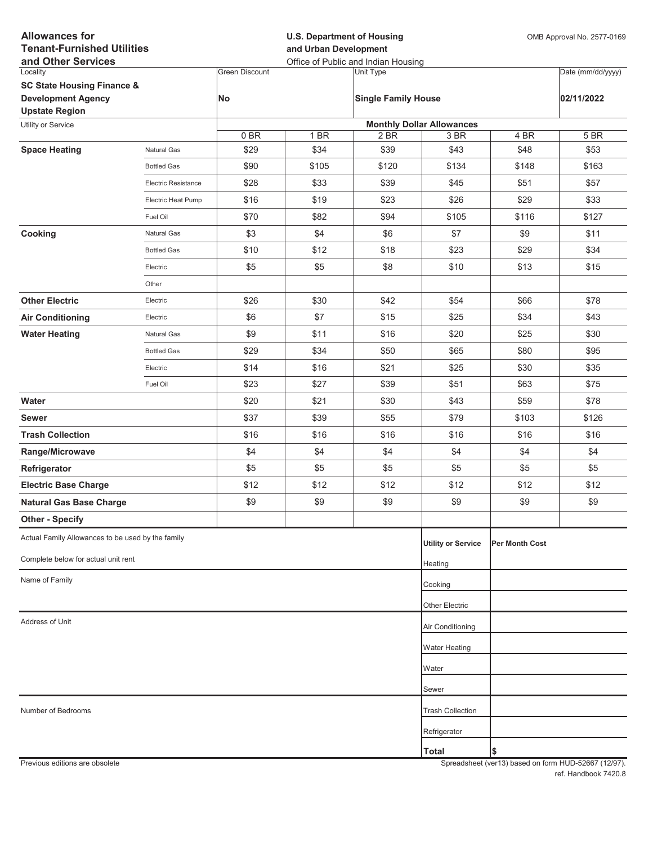| <b>Allowances for</b><br><b>Tenant-Furnished Utilities</b><br>and Other Services |                     |                       | <b>U.S. Department of Housing</b><br>and Urban Development<br>Office of Public and Indian Housing |                            |                                  |                | OMB Approval No. 2577-0169 |  |
|----------------------------------------------------------------------------------|---------------------|-----------------------|---------------------------------------------------------------------------------------------------|----------------------------|----------------------------------|----------------|----------------------------|--|
| Locality                                                                         |                     | <b>Green Discount</b> |                                                                                                   | Unit Type                  |                                  |                | Date (mm/dd/yyyy)          |  |
| <b>SC State Housing Finance &amp;</b>                                            |                     |                       |                                                                                                   |                            |                                  |                |                            |  |
| <b>Development Agency</b>                                                        |                     | No                    |                                                                                                   | <b>Single Family House</b> |                                  |                | 02/11/2022                 |  |
| <b>Upstate Region</b><br>Utility or Service                                      |                     |                       |                                                                                                   |                            | <b>Monthly Dollar Allowances</b> |                |                            |  |
|                                                                                  |                     | 0BR                   | 1 BR                                                                                              | 2 BR                       | 3 BR                             | 4 BR           | 5 BR                       |  |
| <b>Space Heating</b>                                                             | <b>Natural Gas</b>  | \$29                  | \$34                                                                                              | \$39                       | \$43                             | \$48           | \$53                       |  |
|                                                                                  | <b>Bottled Gas</b>  | \$90                  | \$105                                                                                             | \$120                      | \$134                            | \$148          | \$163                      |  |
|                                                                                  | Electric Resistance | \$28                  | \$33                                                                                              | \$39                       | \$45                             | \$51           | \$57                       |  |
|                                                                                  | Electric Heat Pump  | \$16                  | \$19                                                                                              | \$23                       | \$26                             | \$29           | \$33                       |  |
|                                                                                  | Fuel Oil            | \$70                  | \$82                                                                                              | \$94                       | \$105                            | \$116          | \$127                      |  |
| Cooking                                                                          | Natural Gas         | \$3                   | \$4                                                                                               | \$6                        | \$7                              | \$9            | \$11                       |  |
|                                                                                  | <b>Bottled Gas</b>  | \$10                  | \$12                                                                                              | \$18                       | \$23                             | \$29           | \$34                       |  |
|                                                                                  | Electric            | \$5                   | \$5                                                                                               | \$8                        | \$10                             | \$13           | \$15                       |  |
|                                                                                  | Other               |                       |                                                                                                   |                            |                                  |                |                            |  |
| <b>Other Electric</b>                                                            | Electric            | \$26                  | \$30                                                                                              | \$42                       | \$54                             | \$66           | \$78                       |  |
| <b>Air Conditioning</b>                                                          | Electric            | \$6                   | \$7                                                                                               | \$15                       | \$25                             | \$34           | \$43                       |  |
| <b>Water Heating</b>                                                             | Natural Gas         | \$9                   | \$11                                                                                              | \$16                       | \$20                             | \$25           | \$30                       |  |
|                                                                                  | <b>Bottled Gas</b>  | \$29                  | \$34                                                                                              | \$50                       | \$65                             | \$80           | \$95                       |  |
|                                                                                  | Electric            | \$14                  | \$16                                                                                              | \$21                       | \$25                             | \$30           | \$35                       |  |
|                                                                                  | Fuel Oil            | \$23                  | \$27                                                                                              | \$39                       | \$51                             | \$63           | \$75                       |  |
| Water                                                                            |                     | \$20                  | \$21                                                                                              | \$30                       | \$43                             | \$59           | \$78                       |  |
| <b>Sewer</b>                                                                     |                     | \$37                  | \$39                                                                                              | \$55                       | \$79                             | \$103          | \$126                      |  |
| <b>Trash Collection</b>                                                          |                     | \$16                  | \$16                                                                                              | \$16                       | \$16                             | \$16           | \$16                       |  |
| Range/Microwave                                                                  |                     | \$4                   | \$4                                                                                               | \$4                        | \$4                              | \$4            | \$4                        |  |
| Refrigerator                                                                     |                     | \$5                   | \$5                                                                                               | \$5                        | \$5                              | \$5            | \$5                        |  |
| <b>Electric Base Charge</b>                                                      |                     | \$12                  | \$12                                                                                              | \$12                       | \$12                             | \$12           | \$12                       |  |
| <b>Natural Gas Base Charge</b>                                                   |                     | \$9                   | \$9                                                                                               | \$9                        | \$9                              | \$9            | \$9                        |  |
| <b>Other - Specify</b>                                                           |                     |                       |                                                                                                   |                            |                                  |                |                            |  |
| Actual Family Allowances to be used by the family                                |                     |                       |                                                                                                   |                            | <b>Utility or Service</b>        | Per Month Cost |                            |  |
| Complete below for actual unit rent                                              |                     |                       |                                                                                                   |                            | Heating                          |                |                            |  |
| Name of Family                                                                   |                     |                       |                                                                                                   |                            | Cooking                          |                |                            |  |
|                                                                                  |                     |                       |                                                                                                   |                            | <b>Other Electric</b>            |                |                            |  |
| Address of Unit                                                                  |                     |                       |                                                                                                   |                            | Air Conditioning                 |                |                            |  |
|                                                                                  |                     |                       |                                                                                                   |                            |                                  |                |                            |  |
|                                                                                  |                     |                       |                                                                                                   |                            | <b>Water Heating</b>             |                |                            |  |
|                                                                                  |                     |                       |                                                                                                   |                            | Water                            |                |                            |  |
|                                                                                  |                     |                       |                                                                                                   |                            | Sewer                            |                |                            |  |
| Number of Bedrooms                                                               |                     |                       |                                                                                                   |                            | <b>Trash Collection</b>          |                |                            |  |
|                                                                                  |                     |                       |                                                                                                   |                            | Refrigerator                     |                |                            |  |
|                                                                                  |                     |                       |                                                                                                   |                            | <b>Total</b>                     | \$             |                            |  |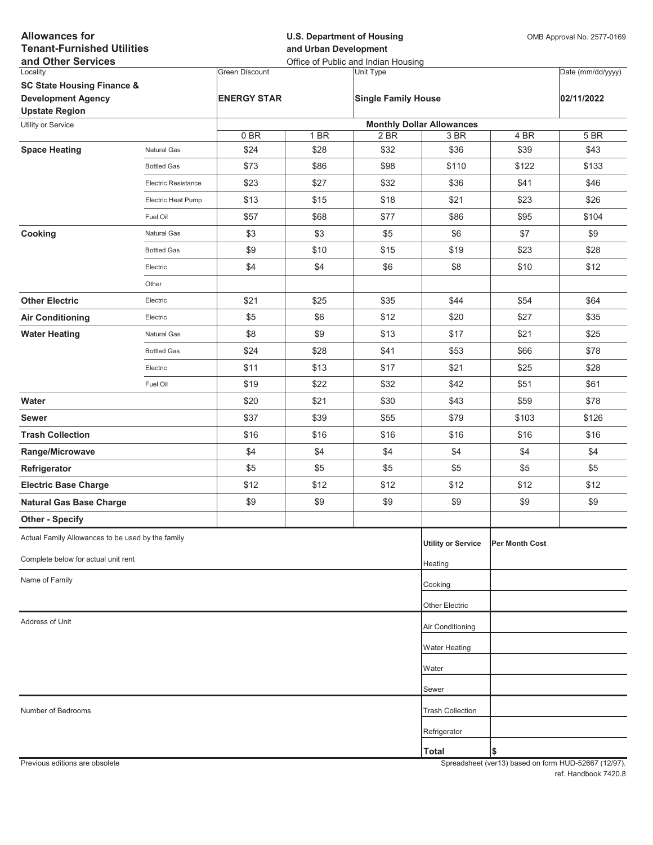| <b>Allowances for</b><br><b>U.S. Department of Housing</b><br><b>Tenant-Furnished Utilities</b><br>and Urban Development<br>and Other Services<br>Office of Public and Indian Housing | OMB Approval No. 2577-0169 |  |
|---------------------------------------------------------------------------------------------------------------------------------------------------------------------------------------|----------------------------|--|
| Locality<br><b>Green Discount</b><br>Unit Type                                                                                                                                        | Date (mm/dd/yyyy)          |  |
| <b>SC State Housing Finance &amp;</b>                                                                                                                                                 |                            |  |
| <b>Development Agency</b><br><b>ENERGY STAR</b><br><b>Single Family House</b><br><b>Upstate Region</b>                                                                                | 02/11/2022                 |  |
| <b>Monthly Dollar Allowances</b><br>Utility or Service                                                                                                                                |                            |  |
| 0BR<br>1 BR<br>2 BR<br>3 BR<br>4 BR                                                                                                                                                   | 5 BR                       |  |
| \$32<br>\$36<br><b>Space Heating</b><br>Natural Gas<br>\$24<br>\$28<br>\$39                                                                                                           | \$43                       |  |
| \$73<br>\$86<br>\$98<br>\$110<br>\$122<br><b>Bottled Gas</b>                                                                                                                          | \$133                      |  |
| \$23<br>\$27<br>\$32<br>\$36<br>\$41<br><b>Electric Resistance</b>                                                                                                                    | \$46                       |  |
| \$15<br>\$18<br>\$21<br>\$23<br>Electric Heat Pump<br>\$13                                                                                                                            | \$26                       |  |
| \$57<br>\$68<br>\$77<br>\$86<br>\$95<br>Fuel Oil                                                                                                                                      | \$104                      |  |
| \$3<br>\$3<br>\$5<br>\$6<br>\$7<br>Cooking<br>Natural Gas                                                                                                                             | \$9                        |  |
| \$9<br>\$10<br>\$15<br>\$19<br>\$23<br><b>Bottled Gas</b>                                                                                                                             | \$28                       |  |
| \$4<br>\$4<br>\$6<br>\$8<br>\$10<br>Electric                                                                                                                                          | \$12                       |  |
| Other                                                                                                                                                                                 |                            |  |
| <b>Other Electric</b><br>\$21<br>\$25<br>\$35<br>\$44<br>\$54<br>Electric                                                                                                             | \$64                       |  |
| \$5<br>\$6<br>\$12<br>\$20<br>\$27<br><b>Air Conditioning</b><br>Electric                                                                                                             | \$35                       |  |
| \$9<br>\$8<br>\$13<br>\$17<br>\$21<br><b>Water Heating</b><br>Natural Gas                                                                                                             | \$25                       |  |
| \$24<br>\$28<br>\$41<br>\$53<br>\$66<br><b>Bottled Gas</b>                                                                                                                            | \$78                       |  |
| \$11<br>\$13<br>\$17<br>\$21<br>\$25<br>Electric                                                                                                                                      | \$28                       |  |
| \$19<br>\$22<br>\$32<br>\$42<br>\$51<br>Fuel Oil                                                                                                                                      | \$61                       |  |
| \$21<br>\$30<br>\$43<br>Water<br>\$20<br>\$59                                                                                                                                         | \$78                       |  |
| \$37<br>\$39<br>\$55<br>\$79<br>\$103<br><b>Sewer</b>                                                                                                                                 | \$126                      |  |
| \$16<br>\$16<br>\$16<br>\$16<br>\$16<br><b>Trash Collection</b>                                                                                                                       | \$16                       |  |
| \$4<br>\$4<br>\$4<br>\$4<br>\$4<br>Range/Microwave                                                                                                                                    | \$4                        |  |
| \$5<br>\$5<br>\$5<br>\$5<br>\$5<br>Refrigerator                                                                                                                                       | \$5                        |  |
| <b>Electric Base Charge</b><br>\$12<br>\$12<br>\$12<br>\$12<br>\$12                                                                                                                   | \$12                       |  |
| \$9<br>\$9<br>\$9<br>\$9<br><b>Natural Gas Base Charge</b><br>\$9                                                                                                                     | \$9                        |  |
| <b>Other - Specify</b>                                                                                                                                                                |                            |  |
| Actual Family Allowances to be used by the family<br><b>Utility or Service</b><br>Per Month Cost                                                                                      |                            |  |
| Complete below for actual unit rent<br>Heating                                                                                                                                        |                            |  |
| Name of Family<br>Cooking                                                                                                                                                             |                            |  |
| Other Electric                                                                                                                                                                        |                            |  |
| Address of Unit<br>Air Conditioning                                                                                                                                                   |                            |  |
| <b>Water Heating</b>                                                                                                                                                                  |                            |  |
| Water                                                                                                                                                                                 |                            |  |
| Sewer                                                                                                                                                                                 |                            |  |
| Number of Bedrooms<br><b>Trash Collection</b>                                                                                                                                         |                            |  |
| Refrigerator                                                                                                                                                                          |                            |  |
| \$<br><b>Total</b>                                                                                                                                                                    |                            |  |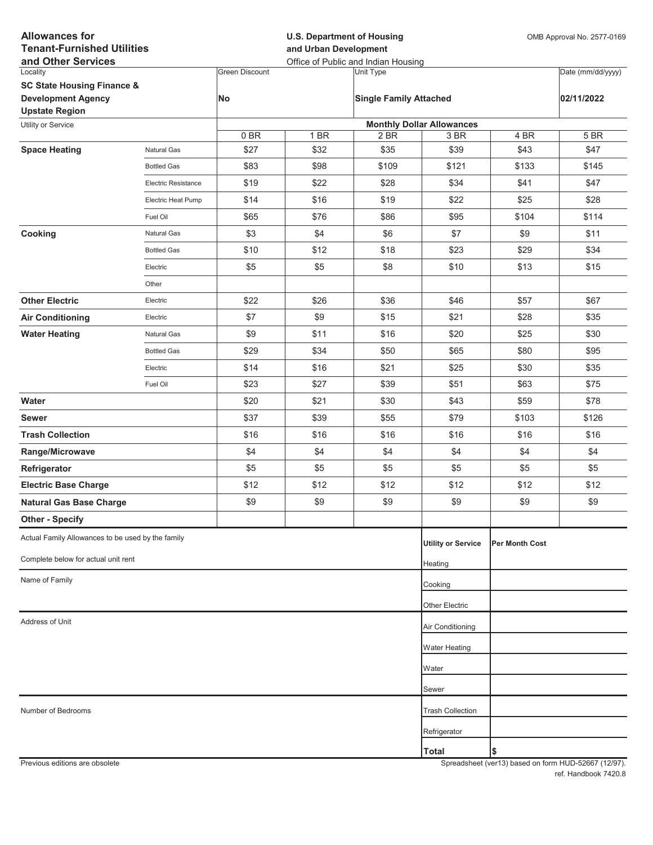| <b>Allowances for</b><br><b>Tenant-Furnished Utilities</b> |                     |                       | <b>U.S. Department of Housing</b><br>and Urban Development | OMB Approval No. 2577-0169                       |                                  |                       |                   |
|------------------------------------------------------------|---------------------|-----------------------|------------------------------------------------------------|--------------------------------------------------|----------------------------------|-----------------------|-------------------|
| and Other Services<br>Locality                             |                     | <b>Green Discount</b> |                                                            | Office of Public and Indian Housing<br>Unit Type |                                  |                       | Date (mm/dd/yyyy) |
| <b>SC State Housing Finance &amp;</b>                      |                     |                       |                                                            |                                                  |                                  |                       |                   |
| <b>Development Agency</b><br><b>Upstate Region</b>         |                     | No                    |                                                            | <b>Single Family Attached</b>                    |                                  |                       | 02/11/2022        |
| Utility or Service                                         |                     |                       |                                                            |                                                  | <b>Monthly Dollar Allowances</b> |                       |                   |
|                                                            |                     | 0 BR                  | 1 BR                                                       | 2 BR                                             | 3 BR                             | 4 BR                  | 5 BR              |
| <b>Space Heating</b>                                       | <b>Natural Gas</b>  | \$27                  | \$32                                                       | \$35                                             | \$39                             | \$43                  | \$47              |
|                                                            | <b>Bottled Gas</b>  | \$83                  | \$98                                                       | \$109                                            | \$121                            | \$133                 | \$145             |
|                                                            | Electric Resistance | \$19                  | \$22                                                       | \$28                                             | \$34                             | \$41                  | \$47              |
|                                                            | Electric Heat Pump  | \$14                  | \$16                                                       | \$19                                             | \$22                             | \$25                  | \$28              |
|                                                            | Fuel Oil            | \$65                  | \$76                                                       | \$86                                             | \$95                             | \$104                 | \$114             |
| Cooking                                                    | Natural Gas         | \$3                   | \$4                                                        | \$6                                              | \$7                              | \$9                   | \$11              |
|                                                            | <b>Bottled Gas</b>  | \$10                  | \$12                                                       | \$18                                             | \$23                             | \$29                  | \$34              |
|                                                            | Electric            | \$5                   | \$5                                                        | \$8                                              | \$10                             | \$13                  | \$15              |
|                                                            | Other               |                       |                                                            |                                                  |                                  |                       |                   |
| <b>Other Electric</b>                                      | Electric            | \$22                  | \$26                                                       | \$36                                             | \$46                             | \$57                  | \$67              |
| <b>Air Conditioning</b>                                    | Electric            | \$7                   | \$9                                                        | \$15                                             | \$21                             | \$28                  | \$35              |
| <b>Water Heating</b>                                       | Natural Gas         | \$9                   | \$11                                                       | \$16                                             | \$20                             | \$25                  | \$30              |
|                                                            | <b>Bottled Gas</b>  | \$29                  | \$34                                                       | \$50                                             | \$65                             | \$80                  | \$95              |
|                                                            | Electric            | \$14                  | \$16                                                       | \$21                                             | \$25                             | \$30                  | \$35              |
|                                                            | Fuel Oil            | \$23                  | \$27                                                       | \$39                                             | \$51                             | \$63                  | \$75              |
| Water                                                      |                     | \$20                  | \$21                                                       | \$30                                             | \$43                             | \$59                  | \$78              |
| <b>Sewer</b>                                               |                     | \$37                  | \$39                                                       | \$55                                             | \$79                             | \$103                 | \$126             |
| <b>Trash Collection</b>                                    |                     | \$16                  | \$16                                                       | \$16                                             | \$16                             | \$16                  | \$16              |
| Range/Microwave                                            |                     | \$4                   | \$4                                                        | \$4                                              | \$4                              | \$4                   | \$4               |
| Refrigerator                                               |                     | \$5                   | \$5                                                        | \$5                                              | \$5                              | \$5                   | \$5               |
| <b>Electric Base Charge</b>                                |                     | \$12                  | \$12                                                       | \$12                                             | \$12                             | \$12                  | \$12              |
| <b>Natural Gas Base Charge</b>                             |                     | \$9                   | \$9                                                        | \$9                                              | \$9                              | \$9                   | \$9               |
| <b>Other - Specify</b>                                     |                     |                       |                                                            |                                                  |                                  |                       |                   |
| Actual Family Allowances to be used by the family          |                     |                       |                                                            |                                                  | <b>Utility or Service</b>        | <b>Per Month Cost</b> |                   |
| Complete below for actual unit rent                        |                     |                       |                                                            |                                                  | Heating                          |                       |                   |
| Name of Family                                             |                     |                       |                                                            |                                                  | Cooking                          |                       |                   |
|                                                            |                     |                       |                                                            |                                                  |                                  |                       |                   |
| Address of Unit                                            |                     |                       |                                                            |                                                  | Other Electric                   |                       |                   |
|                                                            |                     |                       |                                                            |                                                  | Air Conditioning                 |                       |                   |
|                                                            |                     |                       |                                                            |                                                  | <b>Water Heating</b>             |                       |                   |
|                                                            |                     |                       |                                                            |                                                  | Water                            |                       |                   |
|                                                            |                     |                       |                                                            |                                                  | Sewer                            |                       |                   |
| Number of Bedrooms                                         |                     |                       |                                                            |                                                  | <b>Trash Collection</b>          |                       |                   |
|                                                            |                     |                       |                                                            |                                                  | Refrigerator                     |                       |                   |
|                                                            |                     |                       |                                                            |                                                  | <b>Total</b>                     | \$                    |                   |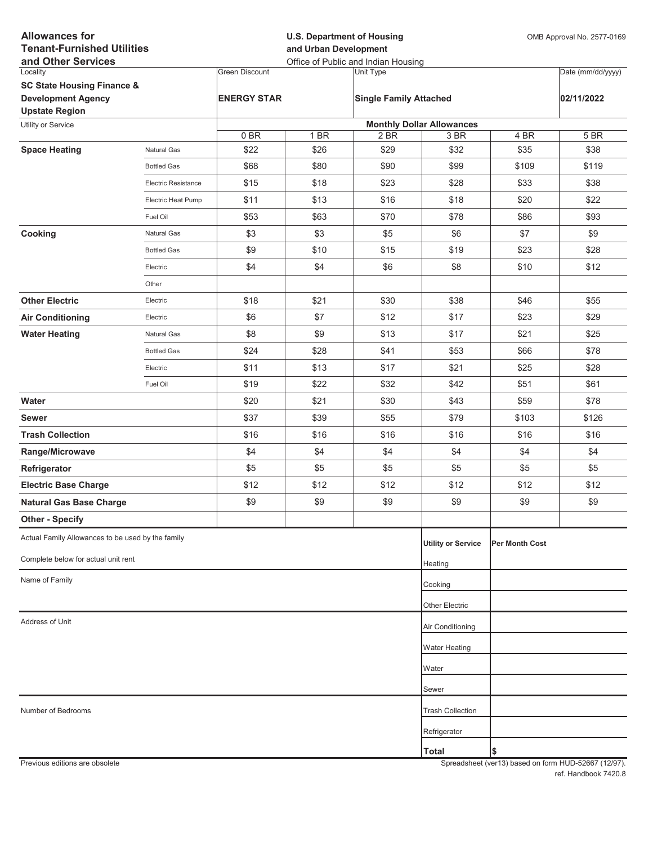| <b>Allowances for</b><br><b>Tenant-Furnished Utilities</b><br>and Other Services |                            |                       | <b>U.S. Department of Housing</b><br>and Urban Development<br>Office of Public and Indian Housing |                               |                                  |                       | OMB Approval No. 2577-0169 |  |
|----------------------------------------------------------------------------------|----------------------------|-----------------------|---------------------------------------------------------------------------------------------------|-------------------------------|----------------------------------|-----------------------|----------------------------|--|
| Locality                                                                         |                            | <b>Green Discount</b> |                                                                                                   | Unit Type                     |                                  |                       | Date (mm/dd/yyyy)          |  |
| <b>SC State Housing Finance &amp;</b>                                            |                            |                       |                                                                                                   |                               |                                  |                       |                            |  |
| <b>Development Agency</b><br><b>Upstate Region</b>                               |                            | <b>ENERGY STAR</b>    |                                                                                                   | <b>Single Family Attached</b> |                                  |                       | 02/11/2022                 |  |
| Utility or Service                                                               |                            |                       |                                                                                                   |                               | <b>Monthly Dollar Allowances</b> |                       |                            |  |
|                                                                                  |                            | 0BR                   | 1 BR                                                                                              | 2 BR                          | 3 BR                             | 4 BR                  | 5 BR                       |  |
| <b>Space Heating</b>                                                             | Natural Gas                | \$22                  | \$26                                                                                              | \$29                          | \$32                             | \$35                  | \$38                       |  |
|                                                                                  | <b>Bottled Gas</b>         | \$68                  | \$80                                                                                              | \$90                          | \$99                             | \$109                 | \$119                      |  |
|                                                                                  | <b>Electric Resistance</b> | \$15                  | \$18                                                                                              | \$23                          | \$28                             | \$33                  | \$38                       |  |
|                                                                                  | Electric Heat Pump         | \$11                  | \$13                                                                                              | \$16                          | \$18                             | \$20                  | \$22                       |  |
|                                                                                  | Fuel Oil                   | \$53                  | \$63                                                                                              | \$70                          | \$78                             | \$86                  | \$93                       |  |
| Cooking                                                                          | Natural Gas                | \$3                   | \$3                                                                                               | \$5                           | \$6                              | \$7                   | \$9                        |  |
|                                                                                  | <b>Bottled Gas</b>         | \$9                   | \$10                                                                                              | \$15                          | \$19                             | \$23                  | \$28                       |  |
|                                                                                  | Electric                   | \$4                   | \$4                                                                                               | \$6                           | \$8                              | \$10                  | \$12                       |  |
|                                                                                  | Other                      |                       |                                                                                                   |                               |                                  |                       |                            |  |
| <b>Other Electric</b>                                                            | Electric                   | \$18                  | \$21                                                                                              | \$30                          | \$38                             | \$46                  | \$55                       |  |
| <b>Air Conditioning</b>                                                          | Electric                   | \$6                   | \$7                                                                                               | \$12                          | \$17                             | \$23                  | \$29                       |  |
| <b>Water Heating</b>                                                             | Natural Gas                | \$8                   | \$9                                                                                               | \$13                          | \$17                             | \$21                  | \$25                       |  |
|                                                                                  | <b>Bottled Gas</b>         | \$24                  | \$28                                                                                              | \$41                          | \$53                             | \$66                  | \$78                       |  |
|                                                                                  | Electric                   | \$11                  | \$13                                                                                              | \$17                          | \$21                             | \$25                  | \$28                       |  |
|                                                                                  | Fuel Oil                   | \$19                  | \$22                                                                                              | \$32                          | \$42                             | \$51                  | \$61                       |  |
| Water                                                                            |                            | \$20                  | \$21                                                                                              | \$30                          | \$43                             | \$59                  | \$78                       |  |
| <b>Sewer</b>                                                                     |                            | \$37                  | \$39                                                                                              | \$55                          | \$79                             | \$103                 | \$126                      |  |
| <b>Trash Collection</b>                                                          |                            | \$16                  | \$16                                                                                              | \$16                          | \$16                             | \$16                  | \$16                       |  |
| Range/Microwave                                                                  |                            | \$4                   | \$4                                                                                               | \$4                           | \$4                              | \$4                   | \$4                        |  |
| Refrigerator                                                                     |                            | \$5                   | \$5                                                                                               | \$5                           | \$5                              | \$5                   | \$5                        |  |
| <b>Electric Base Charge</b>                                                      |                            | \$12                  | \$12                                                                                              | \$12                          | \$12                             | \$12                  | \$12                       |  |
| <b>Natural Gas Base Charge</b>                                                   |                            | \$9                   | \$9                                                                                               | \$9                           | \$9                              | \$9                   | \$9                        |  |
| <b>Other - Specify</b>                                                           |                            |                       |                                                                                                   |                               |                                  |                       |                            |  |
| Actual Family Allowances to be used by the family                                |                            |                       |                                                                                                   |                               | <b>Utility or Service</b>        | <b>Per Month Cost</b> |                            |  |
| Complete below for actual unit rent                                              |                            |                       |                                                                                                   |                               | Heating                          |                       |                            |  |
| Name of Family                                                                   |                            |                       |                                                                                                   |                               | Cooking                          |                       |                            |  |
|                                                                                  |                            |                       |                                                                                                   |                               | Other Electric                   |                       |                            |  |
| Address of Unit                                                                  |                            |                       |                                                                                                   |                               | Air Conditioning                 |                       |                            |  |
|                                                                                  |                            |                       |                                                                                                   |                               |                                  |                       |                            |  |
|                                                                                  |                            |                       |                                                                                                   |                               | <b>Water Heating</b>             |                       |                            |  |
|                                                                                  |                            |                       |                                                                                                   |                               | Water                            |                       |                            |  |
|                                                                                  |                            |                       |                                                                                                   |                               | Sewer                            |                       |                            |  |
| Number of Bedrooms                                                               |                            |                       |                                                                                                   |                               | <b>Trash Collection</b>          |                       |                            |  |
|                                                                                  |                            |                       |                                                                                                   |                               | Refrigerator                     |                       |                            |  |
|                                                                                  |                            |                       |                                                                                                   |                               | <b>Total</b>                     | I\$                   |                            |  |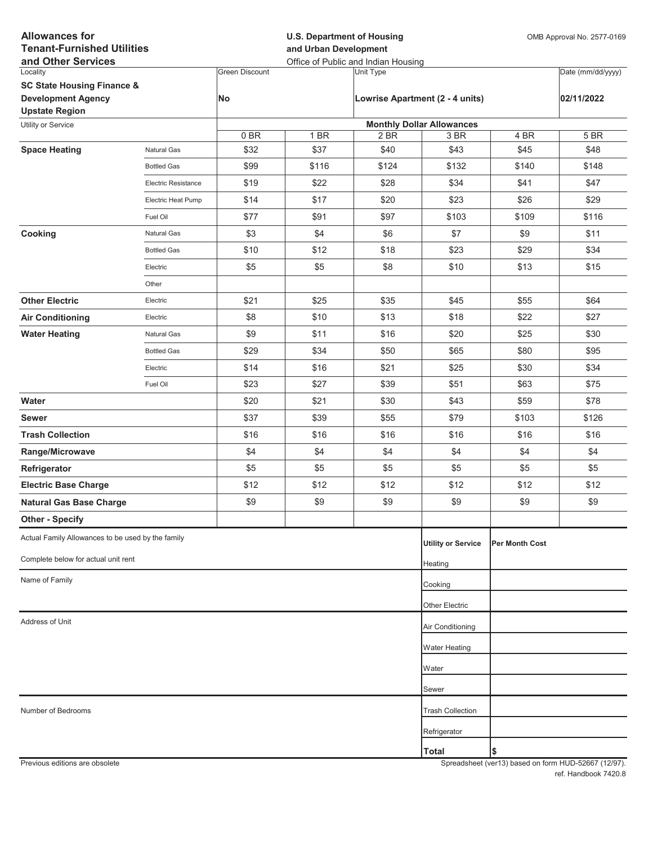| <b>Allowances for</b>                                   |                            |                       | <b>U.S. Department of Housing</b>                            |           |                                  |                       | OMB Approval No. 2577-0169 |  |
|---------------------------------------------------------|----------------------------|-----------------------|--------------------------------------------------------------|-----------|----------------------------------|-----------------------|----------------------------|--|
| <b>Tenant-Furnished Utilities</b><br>and Other Services |                            |                       | and Urban Development<br>Office of Public and Indian Housing |           |                                  |                       |                            |  |
| Locality                                                |                            | <b>Green Discount</b> |                                                              | Unit Type |                                  |                       | Date (mm/dd/yyyy)          |  |
| <b>SC State Housing Finance &amp;</b>                   |                            |                       |                                                              |           |                                  |                       |                            |  |
| <b>Development Agency</b><br><b>Upstate Region</b>      |                            | No                    |                                                              |           | Lowrise Apartment (2 - 4 units)  |                       | 02/11/2022                 |  |
| Utility or Service                                      |                            |                       |                                                              |           | <b>Monthly Dollar Allowances</b> |                       |                            |  |
|                                                         |                            | 0BR                   | 1 BR                                                         | 2 BR      | 3 BR                             | 4 BR                  | 5 BR                       |  |
| <b>Space Heating</b>                                    | Natural Gas                | \$32                  | \$37                                                         | \$40      | \$43                             | \$45                  | \$48                       |  |
|                                                         | <b>Bottled Gas</b>         | \$99                  | \$116                                                        | \$124     | \$132                            | \$140                 | \$148                      |  |
|                                                         | <b>Electric Resistance</b> | \$19                  | \$22                                                         | \$28      | \$34                             | \$41                  | \$47                       |  |
|                                                         | Electric Heat Pump         | \$14                  | \$17                                                         | \$20      | \$23                             | \$26                  | \$29                       |  |
|                                                         | Fuel Oil                   | \$77                  | \$91                                                         | \$97      | \$103                            | \$109                 | \$116                      |  |
| Cooking                                                 | Natural Gas                | \$3                   | \$4                                                          | \$6       | \$7                              | \$9                   | \$11                       |  |
|                                                         | <b>Bottled Gas</b>         | \$10                  | \$12                                                         | \$18      | \$23                             | \$29                  | \$34                       |  |
|                                                         | Electric                   | \$5                   | \$5                                                          | \$8       | \$10                             | \$13                  | \$15                       |  |
|                                                         | Other                      |                       |                                                              |           |                                  |                       |                            |  |
| <b>Other Electric</b>                                   | Electric                   | \$21                  | \$25                                                         | \$35      | \$45                             | \$55                  | \$64                       |  |
| <b>Air Conditioning</b>                                 | Electric                   | \$8                   | \$10                                                         | \$13      | \$18                             | \$22                  | \$27                       |  |
| <b>Water Heating</b>                                    | Natural Gas                | \$9                   | \$11                                                         | \$16      | \$20                             | \$25                  | \$30                       |  |
|                                                         | <b>Bottled Gas</b>         | \$29                  | \$34                                                         | \$50      | \$65                             | \$80                  | \$95                       |  |
|                                                         | Electric                   | \$14                  | \$16                                                         | \$21      | \$25                             | \$30                  | \$34                       |  |
|                                                         | Fuel Oil                   | \$23                  | \$27                                                         | \$39      | \$51                             | \$63                  | \$75                       |  |
| Water                                                   |                            | \$20                  | \$21                                                         | \$30      | \$43                             | \$59                  | \$78                       |  |
| <b>Sewer</b>                                            |                            | \$37                  | \$39                                                         | \$55      | \$79                             | \$103                 | \$126                      |  |
| <b>Trash Collection</b>                                 |                            | \$16                  | \$16                                                         | \$16      | \$16                             | \$16                  | \$16                       |  |
| Range/Microwave                                         |                            | \$4                   | \$4                                                          | \$4       | \$4                              | \$4                   | \$4                        |  |
| Refrigerator                                            |                            | \$5                   | \$5                                                          | \$5       | \$5                              | \$5                   | \$5                        |  |
| <b>Electric Base Charge</b>                             |                            | \$12                  | \$12                                                         | \$12      | \$12                             | \$12                  | \$12                       |  |
| <b>Natural Gas Base Charge</b>                          |                            | \$9                   | \$9                                                          | \$9       | \$9                              | \$9                   | \$9                        |  |
| <b>Other - Specify</b>                                  |                            |                       |                                                              |           |                                  |                       |                            |  |
| Actual Family Allowances to be used by the family       |                            |                       |                                                              |           | <b>Utility or Service</b>        | <b>Per Month Cost</b> |                            |  |
| Complete below for actual unit rent                     |                            |                       |                                                              |           |                                  |                       |                            |  |
|                                                         |                            |                       |                                                              |           | Heating                          |                       |                            |  |
| Name of Family                                          |                            |                       |                                                              |           | Cooking                          |                       |                            |  |
|                                                         |                            |                       |                                                              |           | <b>Other Electric</b>            |                       |                            |  |
| Address of Unit                                         |                            |                       |                                                              |           | Air Conditioning                 |                       |                            |  |
|                                                         |                            |                       |                                                              |           | Water Heating                    |                       |                            |  |
|                                                         |                            |                       |                                                              |           | Water                            |                       |                            |  |
|                                                         |                            |                       |                                                              |           | Sewer                            |                       |                            |  |
| Number of Bedrooms                                      |                            |                       |                                                              |           | <b>Trash Collection</b>          |                       |                            |  |
|                                                         |                            |                       |                                                              |           | Refrigerator                     |                       |                            |  |
|                                                         |                            |                       |                                                              |           | <b>Total</b>                     | \$                    |                            |  |
|                                                         |                            |                       |                                                              |           |                                  |                       |                            |  |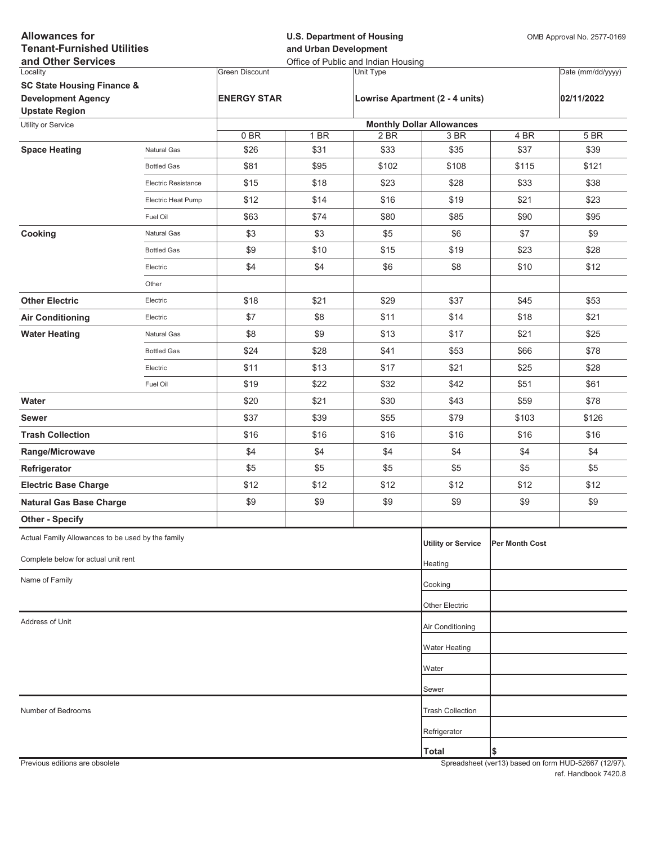| <b>Allowances for</b><br><b>Tenant-Furnished Utilities</b><br>and Other Services |                            |                       | <b>U.S. Department of Housing</b><br>and Urban Development<br>Office of Public and Indian Housing |           |                                  |                | OMB Approval No. 2577-0169 |  |
|----------------------------------------------------------------------------------|----------------------------|-----------------------|---------------------------------------------------------------------------------------------------|-----------|----------------------------------|----------------|----------------------------|--|
| Locality                                                                         |                            | <b>Green Discount</b> |                                                                                                   | Unit Type |                                  |                | Date (mm/dd/yyyy)          |  |
| <b>SC State Housing Finance &amp;</b>                                            |                            |                       |                                                                                                   |           |                                  |                |                            |  |
| <b>Development Agency</b><br><b>Upstate Region</b>                               |                            | <b>ENERGY STAR</b>    |                                                                                                   |           | Lowrise Apartment (2 - 4 units)  |                | 02/11/2022                 |  |
| Utility or Service                                                               |                            |                       |                                                                                                   |           | <b>Monthly Dollar Allowances</b> |                |                            |  |
|                                                                                  |                            | 0BR                   | 1 BR                                                                                              | 2 BR      | 3 BR                             | 4 BR           | 5 BR                       |  |
| <b>Space Heating</b>                                                             | Natural Gas                | \$26                  | \$31                                                                                              | \$33      | \$35                             | \$37           | \$39                       |  |
|                                                                                  | <b>Bottled Gas</b>         | \$81                  | \$95                                                                                              | \$102     | \$108                            | \$115          | \$121                      |  |
|                                                                                  | <b>Electric Resistance</b> | \$15                  | \$18                                                                                              | \$23      | \$28                             | \$33           | \$38                       |  |
|                                                                                  | Electric Heat Pump         | \$12                  | \$14                                                                                              | \$16      | \$19                             | \$21           | \$23                       |  |
|                                                                                  | Fuel Oil                   | \$63                  | \$74                                                                                              | \$80      | \$85                             | \$90           | \$95                       |  |
| Cooking                                                                          | Natural Gas                | \$3                   | \$3                                                                                               | \$5       | \$6                              | \$7            | \$9                        |  |
|                                                                                  | <b>Bottled Gas</b>         | \$9                   | \$10                                                                                              | \$15      | \$19                             | \$23           | \$28                       |  |
|                                                                                  | Electric                   | \$4                   | \$4                                                                                               | \$6       | \$8                              | \$10           | \$12                       |  |
|                                                                                  | Other                      |                       |                                                                                                   |           |                                  |                |                            |  |
| <b>Other Electric</b>                                                            | Electric                   | \$18                  | \$21                                                                                              | \$29      | \$37                             | \$45           | \$53                       |  |
| <b>Air Conditioning</b>                                                          | Electric                   | \$7                   | \$8                                                                                               | \$11      | \$14                             | \$18           | \$21                       |  |
| <b>Water Heating</b>                                                             | Natural Gas                | \$8                   | \$9                                                                                               | \$13      | \$17                             | \$21           | \$25                       |  |
|                                                                                  | <b>Bottled Gas</b>         | \$24                  | \$28                                                                                              | \$41      | \$53                             | \$66           | \$78                       |  |
|                                                                                  | Electric                   | \$11                  | \$13                                                                                              | \$17      | \$21                             | \$25           | \$28                       |  |
|                                                                                  | Fuel Oil                   | \$19                  | \$22                                                                                              | \$32      | \$42                             | \$51           | \$61                       |  |
| Water                                                                            |                            | \$20                  | \$21                                                                                              | \$30      | \$43                             | \$59           | \$78                       |  |
| <b>Sewer</b>                                                                     |                            | \$37                  | \$39                                                                                              | \$55      | \$79                             | \$103          | \$126                      |  |
| <b>Trash Collection</b>                                                          |                            | \$16                  | \$16                                                                                              | \$16      | \$16                             | \$16           | \$16                       |  |
| Range/Microwave                                                                  |                            | \$4                   | \$4                                                                                               | \$4       | \$4                              | \$4            | \$4                        |  |
| Refrigerator                                                                     |                            | \$5                   | \$5                                                                                               | \$5       | \$5                              | \$5            | \$5                        |  |
| <b>Electric Base Charge</b>                                                      |                            | \$12                  | \$12                                                                                              | \$12      | \$12                             | \$12           | \$12                       |  |
| <b>Natural Gas Base Charge</b>                                                   |                            | \$9                   | \$9                                                                                               | \$9       | \$9                              | \$9            | \$9                        |  |
| <b>Other - Specify</b>                                                           |                            |                       |                                                                                                   |           |                                  |                |                            |  |
| Actual Family Allowances to be used by the family                                |                            |                       |                                                                                                   |           | <b>Utility or Service</b>        | Per Month Cost |                            |  |
| Complete below for actual unit rent                                              |                            |                       |                                                                                                   |           | Heating                          |                |                            |  |
| Name of Family                                                                   |                            |                       |                                                                                                   |           | Cooking                          |                |                            |  |
|                                                                                  |                            |                       |                                                                                                   |           | Other Electric                   |                |                            |  |
| Address of Unit                                                                  |                            |                       |                                                                                                   |           | Air Conditioning                 |                |                            |  |
|                                                                                  |                            |                       |                                                                                                   |           | <b>Water Heating</b>             |                |                            |  |
|                                                                                  |                            |                       |                                                                                                   |           | Water                            |                |                            |  |
|                                                                                  |                            |                       |                                                                                                   |           | Sewer                            |                |                            |  |
| Number of Bedrooms                                                               |                            |                       |                                                                                                   |           | <b>Trash Collection</b>          |                |                            |  |
|                                                                                  |                            |                       |                                                                                                   |           | Refrigerator                     |                |                            |  |
|                                                                                  |                            |                       |                                                                                                   |           | <b>Total</b>                     | \$             |                            |  |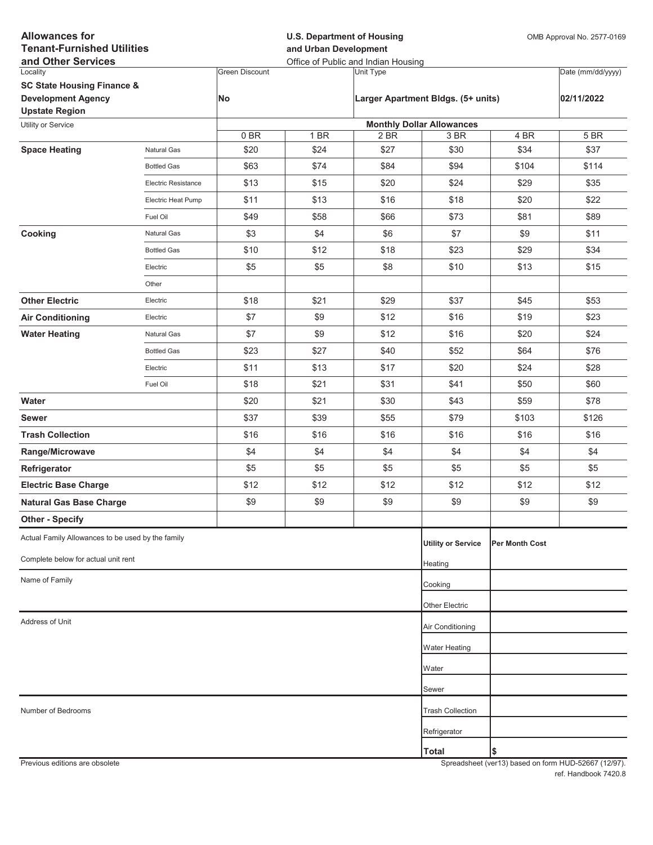| <b>Allowances for</b><br><b>Tenant-Furnished Utilities</b><br>and Other Services            |                     |                       | <b>U.S. Department of Housing</b><br>and Urban Development<br>Office of Public and Indian Housing |                                    |                                  |                | OMB Approval No. 2577-0169 |  |
|---------------------------------------------------------------------------------------------|---------------------|-----------------------|---------------------------------------------------------------------------------------------------|------------------------------------|----------------------------------|----------------|----------------------------|--|
| Locality                                                                                    |                     | <b>Green Discount</b> |                                                                                                   | Unit Type                          |                                  |                | Date (mm/dd/yyyy)          |  |
| <b>SC State Housing Finance &amp;</b><br><b>Development Agency</b><br><b>Upstate Region</b> |                     | No                    |                                                                                                   | Larger Apartment Bldgs. (5+ units) |                                  | 02/11/2022     |                            |  |
| Utility or Service                                                                          |                     |                       |                                                                                                   |                                    | <b>Monthly Dollar Allowances</b> |                |                            |  |
|                                                                                             |                     | 0BR                   | 1 BR                                                                                              | 2 BR                               | 3 BR                             | 4 BR           | 5 BR                       |  |
| <b>Space Heating</b>                                                                        | Natural Gas         | \$20                  | \$24                                                                                              | \$27                               | \$30                             | \$34           | \$37                       |  |
|                                                                                             | <b>Bottled Gas</b>  | \$63                  | \$74                                                                                              | \$84                               | \$94                             | \$104          | \$114                      |  |
|                                                                                             | Electric Resistance | \$13                  | \$15                                                                                              | \$20                               | \$24                             | \$29           | \$35                       |  |
|                                                                                             | Electric Heat Pump  | \$11                  | \$13                                                                                              | \$16                               | \$18                             | \$20           | \$22                       |  |
|                                                                                             | Fuel Oil            | \$49                  | \$58                                                                                              | \$66                               | \$73                             | \$81           | \$89                       |  |
| Cooking                                                                                     | Natural Gas         | \$3                   | \$4                                                                                               | \$6                                | \$7                              | \$9            | \$11                       |  |
|                                                                                             | <b>Bottled Gas</b>  | \$10                  | \$12                                                                                              | \$18                               | \$23                             | \$29           | \$34                       |  |
|                                                                                             | Electric            | \$5                   | \$5                                                                                               | \$8                                | \$10                             | \$13           | \$15                       |  |
|                                                                                             | Other               |                       |                                                                                                   |                                    |                                  |                |                            |  |
| <b>Other Electric</b>                                                                       | Electric            | \$18                  | \$21                                                                                              | \$29                               | \$37                             | \$45           | \$53                       |  |
| <b>Air Conditioning</b>                                                                     | Electric            | \$7                   | \$9                                                                                               | \$12                               | \$16                             | \$19           | \$23                       |  |
| <b>Water Heating</b>                                                                        | Natural Gas         | \$7                   | \$9                                                                                               | \$12                               | \$16                             | \$20           | \$24                       |  |
|                                                                                             | <b>Bottled Gas</b>  | \$23                  | \$27                                                                                              | \$40                               | \$52                             | \$64           | \$76                       |  |
|                                                                                             | Electric            | \$11                  | \$13                                                                                              | \$17                               | \$20                             | \$24           | \$28                       |  |
|                                                                                             | Fuel Oil            | \$18                  | \$21                                                                                              | \$31                               | \$41                             | \$50           | \$60                       |  |
| Water                                                                                       |                     | \$20                  | \$21                                                                                              | \$30                               | \$43                             | \$59           | \$78                       |  |
| <b>Sewer</b>                                                                                |                     | \$37                  | \$39                                                                                              | \$55                               | \$79                             | \$103          | \$126                      |  |
| <b>Trash Collection</b>                                                                     |                     | \$16                  | \$16                                                                                              | \$16                               | \$16                             | \$16           | \$16                       |  |
| Range/Microwave                                                                             |                     | \$4                   | \$4                                                                                               | \$4                                | \$4                              | \$4            | \$4                        |  |
| Refrigerator                                                                                |                     | \$5                   | \$5                                                                                               | \$5                                | \$5                              | \$5            | \$5                        |  |
| <b>Electric Base Charge</b>                                                                 |                     | \$12                  | \$12                                                                                              | \$12                               | \$12                             | \$12           | \$12                       |  |
| <b>Natural Gas Base Charge</b>                                                              |                     | \$9                   | \$9                                                                                               | \$9                                | \$9                              | \$9            | \$9                        |  |
| <b>Other - Specify</b>                                                                      |                     |                       |                                                                                                   |                                    |                                  |                |                            |  |
| Actual Family Allowances to be used by the family                                           |                     |                       |                                                                                                   |                                    | <b>Utility or Service</b>        | Per Month Cost |                            |  |
| Complete below for actual unit rent                                                         |                     |                       |                                                                                                   |                                    | Heating                          |                |                            |  |
| Name of Family                                                                              |                     |                       |                                                                                                   |                                    | Cooking                          |                |                            |  |
|                                                                                             |                     |                       |                                                                                                   |                                    | Other Electric                   |                |                            |  |
| Address of Unit                                                                             |                     |                       |                                                                                                   |                                    | Air Conditioning                 |                |                            |  |
|                                                                                             |                     |                       |                                                                                                   |                                    |                                  |                |                            |  |
|                                                                                             |                     |                       |                                                                                                   |                                    | <b>Water Heating</b>             |                |                            |  |
|                                                                                             |                     |                       |                                                                                                   |                                    | Water                            |                |                            |  |
|                                                                                             |                     |                       |                                                                                                   |                                    | Sewer                            |                |                            |  |
| Number of Bedrooms                                                                          |                     |                       |                                                                                                   |                                    | <b>Trash Collection</b>          |                |                            |  |
|                                                                                             |                     |                       |                                                                                                   |                                    | Refrigerator                     |                |                            |  |
|                                                                                             |                     |                       |                                                                                                   |                                    | <b>Total</b>                     | Ι\$            |                            |  |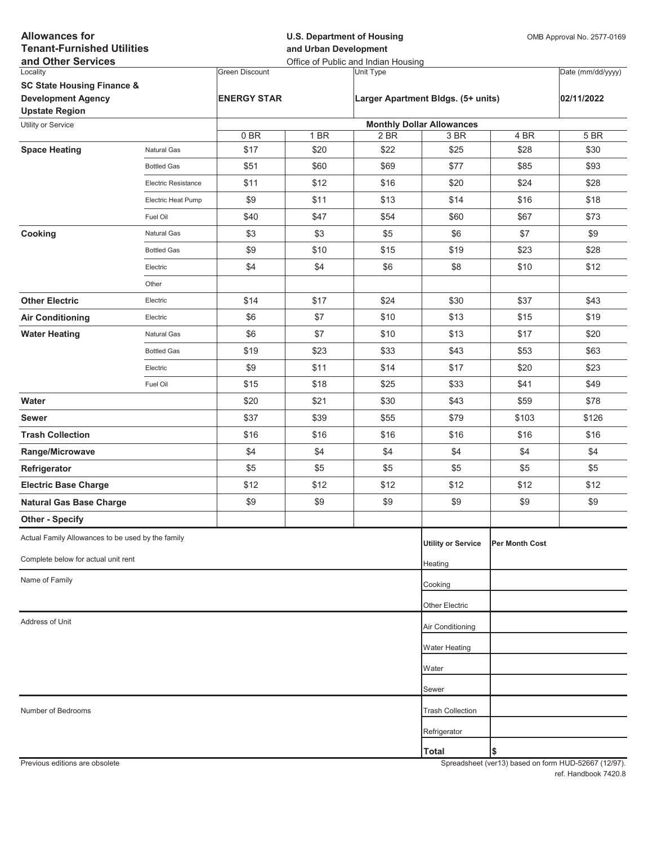| <b>Allowances for</b><br><b>Tenant-Furnished Utilities</b><br>and Other Services |                            |                       | <b>U.S. Department of Housing</b><br>and Urban Development<br>Office of Public and Indian Housing |           |                                    |                | OMB Approval No. 2577-0169 |  |
|----------------------------------------------------------------------------------|----------------------------|-----------------------|---------------------------------------------------------------------------------------------------|-----------|------------------------------------|----------------|----------------------------|--|
| Locality                                                                         |                            | <b>Green Discount</b> |                                                                                                   | Unit Type |                                    |                | Date (mm/dd/yyyy)          |  |
| <b>SC State Housing Finance &amp;</b>                                            |                            |                       |                                                                                                   |           |                                    |                |                            |  |
| <b>Development Agency</b><br><b>Upstate Region</b>                               |                            | <b>ENERGY STAR</b>    |                                                                                                   |           | Larger Apartment Bldgs. (5+ units) |                | 02/11/2022                 |  |
| Utility or Service                                                               |                            |                       |                                                                                                   |           | <b>Monthly Dollar Allowances</b>   |                |                            |  |
|                                                                                  |                            | 0BR                   | 1 BR                                                                                              | 2 BR      | 3 BR                               | 4 BR           | 5 BR                       |  |
| <b>Space Heating</b>                                                             | Natural Gas                | \$17                  | \$20                                                                                              | \$22      | \$25                               | \$28           | \$30                       |  |
|                                                                                  | <b>Bottled Gas</b>         | \$51                  | \$60                                                                                              | \$69      | \$77                               | \$85           | \$93                       |  |
|                                                                                  | <b>Electric Resistance</b> | \$11                  | \$12                                                                                              | \$16      | \$20                               | \$24           | \$28                       |  |
|                                                                                  | Electric Heat Pump         | \$9                   | \$11                                                                                              | \$13      | \$14                               | \$16           | \$18                       |  |
|                                                                                  | Fuel Oil                   | \$40                  | \$47                                                                                              | \$54      | \$60                               | \$67           | \$73                       |  |
| Cooking                                                                          | Natural Gas                | \$3                   | \$3                                                                                               | \$5       | \$6                                | \$7            | \$9                        |  |
|                                                                                  | <b>Bottled Gas</b>         | \$9                   | \$10                                                                                              | \$15      | \$19                               | \$23           | \$28                       |  |
|                                                                                  | Electric                   | \$4                   | \$4                                                                                               | \$6       | \$8                                | \$10           | \$12                       |  |
|                                                                                  | Other                      |                       |                                                                                                   |           |                                    |                |                            |  |
| <b>Other Electric</b>                                                            | Electric                   | \$14                  | \$17                                                                                              | \$24      | \$30                               | \$37           | \$43                       |  |
| <b>Air Conditioning</b>                                                          | Electric                   | \$6                   | \$7                                                                                               | \$10      | \$13                               | \$15           | \$19                       |  |
| <b>Water Heating</b>                                                             | Natural Gas                | \$6                   | \$7                                                                                               | \$10      | \$13                               | \$17           | \$20                       |  |
|                                                                                  | <b>Bottled Gas</b>         | \$19                  | \$23                                                                                              | \$33      | \$43                               | \$53           | \$63                       |  |
|                                                                                  | Electric                   | \$9                   | \$11                                                                                              | \$14      | \$17                               | \$20           | \$23                       |  |
|                                                                                  | Fuel Oil                   | \$15                  | \$18                                                                                              | \$25      | \$33                               | \$41           | \$49                       |  |
| Water                                                                            |                            | \$20                  | \$21                                                                                              | \$30      | \$43                               | \$59           | \$78                       |  |
| <b>Sewer</b>                                                                     |                            | \$37                  | \$39                                                                                              | \$55      | \$79                               | \$103          | \$126                      |  |
| <b>Trash Collection</b>                                                          |                            | \$16                  | \$16                                                                                              | \$16      | \$16                               | \$16           | \$16                       |  |
| Range/Microwave                                                                  |                            | \$4                   | \$4                                                                                               | \$4       | \$4                                | \$4            | \$4                        |  |
| Refrigerator                                                                     |                            | \$5                   | \$5                                                                                               | \$5       | \$5                                | \$5            | \$5                        |  |
| <b>Electric Base Charge</b>                                                      |                            | \$12                  | \$12                                                                                              | \$12      | \$12                               | \$12           | \$12                       |  |
| <b>Natural Gas Base Charge</b>                                                   |                            | \$9                   | \$9                                                                                               | \$9       | \$9                                | \$9            | \$9                        |  |
| <b>Other - Specify</b>                                                           |                            |                       |                                                                                                   |           |                                    |                |                            |  |
| Actual Family Allowances to be used by the family                                |                            |                       |                                                                                                   |           | <b>Utility or Service</b>          | Per Month Cost |                            |  |
| Complete below for actual unit rent                                              |                            |                       |                                                                                                   |           | Heating                            |                |                            |  |
| Name of Family                                                                   |                            |                       |                                                                                                   |           | Cooking                            |                |                            |  |
|                                                                                  |                            |                       |                                                                                                   |           | Other Electric                     |                |                            |  |
| Address of Unit                                                                  |                            |                       |                                                                                                   |           | Air Conditioning                   |                |                            |  |
|                                                                                  |                            |                       |                                                                                                   |           | <b>Water Heating</b>               |                |                            |  |
|                                                                                  |                            |                       |                                                                                                   |           | Water                              |                |                            |  |
|                                                                                  |                            |                       |                                                                                                   |           | Sewer                              |                |                            |  |
| Number of Bedrooms                                                               |                            |                       |                                                                                                   |           | <b>Trash Collection</b>            |                |                            |  |
|                                                                                  |                            |                       |                                                                                                   |           | Refrigerator                       |                |                            |  |
|                                                                                  |                            |                       |                                                                                                   |           | <b>Total</b>                       | \$             |                            |  |